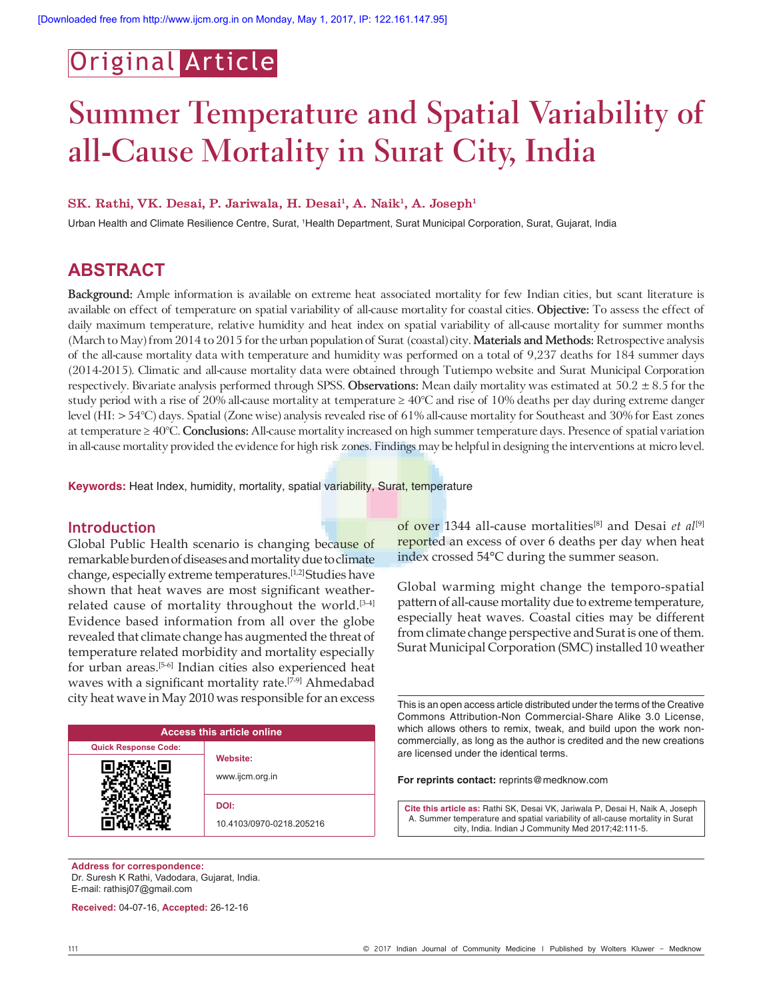## Original Article

# **Summer Temperature and Spatial Variability of all-Cause Mortality in Surat City, India**

#### SK. Rathi, VK. Desai, P. Jariwala, H. Desai<sup>1</sup>, A. Naik<sup>1</sup>, A. Joseph<sup>1</sup>

Urban Health and Climate Resilience Centre, Surat, <sup>1</sup>Health Department, Surat Municipal Corporation, Surat, Gujarat, India

### **ABSTRACT**

**Background:** Ample information is available on extreme heat associated mortality for few Indian cities, but scant literature is available on effect of temperature on spatial variability of all-cause mortality for coastal cities. **Objective:** To assess the effect of daily maximum temperature, relative humidity and heat index on spatial variability of all-cause mortality for summer months (March to May) from 2014 to 2015 for the urban population of Surat (coastal) city. **Materials and Methods:** Retrospective analysis of the all-cause mortality data with temperature and humidity was performed on a total of 9,237 deaths for 184 summer days (2014-2015). Climatic and all-cause mortality data were obtained through Tutiempo website and Surat Municipal Corporation respectively. Bivariate analysis performed through SPSS. **Observations:** Mean daily mortality was estimated at 50.2 ± 8.5 for the study period with a rise of 20% all-cause mortality at temperature  $\geq 40^{\circ}$ C and rise of 10% deaths per day during extreme danger level (HI: > 54°C) days. Spatial (Zone wise) analysis revealed rise of 61% all-cause mortality for Southeast and 30% for East zones at temperature ≥ 40°C. **Conclusions:** All-cause mortality increased on high summer temperature days. Presence of spatial variation in all-cause mortality provided the evidence for high risk zones. Findings may be helpful in designing the interventions at micro level.

**Keywords:** Heat Index, humidity, mortality, spatial variability, Surat, temperature

#### **Introduction**

Global Public Health scenario is changing because of remarkable burden of diseases and mortality due to climate change, especially extreme temperatures.[1,2] Studies have shown that heat waves are most significant weatherrelated cause of mortality throughout the world.<sup>[3-4]</sup> Evidence based information from all over the globe revealed that climate change has augmented the threat of temperature related morbidity and mortality especially for urban areas.[5-6] Indian cities also experienced heat waves with a significant mortality rate.<sup>[7-9]</sup> Ahmedabad city heat wave in May 2010 was responsible for an excess

| <b>Access this article online</b> |                                  |  |  |  |  |
|-----------------------------------|----------------------------------|--|--|--|--|
| <b>Quick Response Code:</b>       |                                  |  |  |  |  |
|                                   | Website:<br>www.ijcm.org.in      |  |  |  |  |
|                                   | DOI:<br>10.4103/0970-0218.205216 |  |  |  |  |

**Address for correspondence:** Dr. Suresh K Rathi, Vadodara, Gujarat, India. E-mail: rathisj07@gmail.com

**Received:** 04-07-16, **Accepted:** 26-12-16

of over 1344 all-cause mortalities[8] and Desai *et al*[9] reported an excess of over 6 deaths per day when heat index crossed 54°C during the summer season.

Global warming might change the temporo-spatial pattern of all-cause mortality due to extreme temperature, especially heat waves. Coastal cities may be different from climate change perspective and Surat is one of them. Surat Municipal Corporation (SMC) installed 10 weather

This is an open access article distributed under the terms of the Creative Commons Attribution-Non Commercial-Share Alike 3.0 License, which allows others to remix, tweak, and build upon the work noncommercially, as long as the author is credited and the new creations are licensed under the identical terms.

**For reprints contact:** reprints@medknow.com

**Cite this article as:** Rathi SK, Desai VK, Jariwala P, Desai H, Naik A, Joseph A. Summer temperature and spatial variability of all-cause mortality in Surat city, India. Indian J Community Med 2017;42:111-5.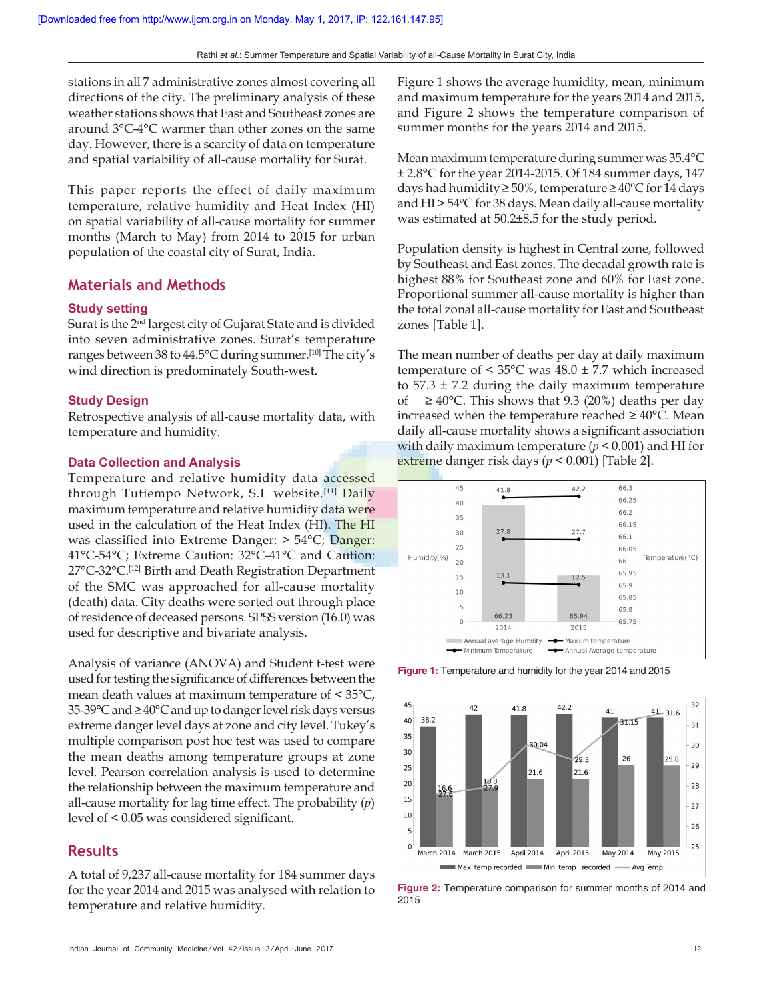stations in all 7 administrative zones almost covering all directions of the city. The preliminary analysis of these weather stations shows that East and Southeast zones are around 3°C-4°C warmer than other zones on the same day. However, there is a scarcity of data on temperature and spatial variability of all-cause mortality for Surat.

This paper reports the effect of daily maximum temperature, relative humidity and Heat Index (HI) on spatial variability of all-cause mortality for summer months (March to May) from 2014 to 2015 for urban population of the coastal city of Surat, India.

#### **Materials and Methods**

#### **Study setting**

Surat is the 2nd largest city of Gujarat State and is divided into seven administrative zones. Surat's temperature ranges between 38 to 44.5°C during summer.[10] The city's wind direction is predominately South-west.

#### **Study Design**

Retrospective analysis of all-cause mortality data, with temperature and humidity.

#### **Data Collection and Analysis**

Temperature and relative humidity data accessed through Tutiempo Network, S.L website.<sup>[11]</sup> Daily maximum temperature and relative humidity data were used in the calculation of the Heat Index (HI). The HI was classified into Extreme Danger: > 54°C; Danger: 41°C-54°C; Extreme Caution: 32°C-41°C and Caution: 27°C-32°C.<sup>[12]</sup> Birth and Death Registration Department of the SMC was approached for all-cause mortality (death) data. City deaths were sorted out through place of residence of deceased persons. SPSS version (16.0) was used for descriptive and bivariate analysis.

Analysis of variance (ANOVA) and Student t-test were used for testing the significance of differences between the mean death values at maximum temperature of < 35°C, 35-39°C and ≥ 40°C and up to danger level risk days versus extreme danger level days at zone and city level. Tukey's multiple comparison post hoc test was used to compare the mean deaths among temperature groups at zone level. Pearson correlation analysis is used to determine the relationship between the maximum temperature and all-cause mortality for lag time effect. The probability (*p*) level of < 0.05 was considered significant.

#### **Results**

A total of 9,237 all-cause mortality for 184 summer days for the year 2014 and 2015 was analysed with relation to temperature and relative humidity.

Figure 1 shows the average humidity, mean, minimum and maximum temperature for the years 2014 and 2015, and Figure 2 shows the temperature comparison of summer months for the years 2014 and 2015.

Mean maximum temperature during summer was 35.4°C ± 2.8°C for the year 2014-2015. Of 184 summer days, 147 days had humidity ≥ 50%, temperature ≥ 40ºC for 14 days and HI > 54ºC for 38 days. Mean daily all-cause mortality was estimated at 50.2±8.5 for the study period.

Population density is highest in Central zone, followed by Southeast and East zones. The decadal growth rate is highest 88% for Southeast zone and 60% for East zone. Proportional summer all-cause mortality is higher than the total zonal all-cause mortality for East and Southeast zones [Table 1].

The mean number of deaths per day at daily maximum temperature of  $\leq 35^{\circ}$ C was  $48.0 \pm 7.7$  which increased to  $57.3 \pm 7.2$  during the daily maximum temperature of ≥ 40°C. This shows that 9.3 (20%) deaths per day increased when the temperature reached  $\geq 40^{\circ}$ C. Mean daily all-cause mortality shows a significant association with daily maximum temperature (*p* < 0.001) and HI for extreme danger risk days (*p* < 0.001) [Table 2].



**Figure 1:** Temperature and humidity for the year 2014 and 2015



**Figure 2:** Temperature comparison for summer months of 2014 and 2015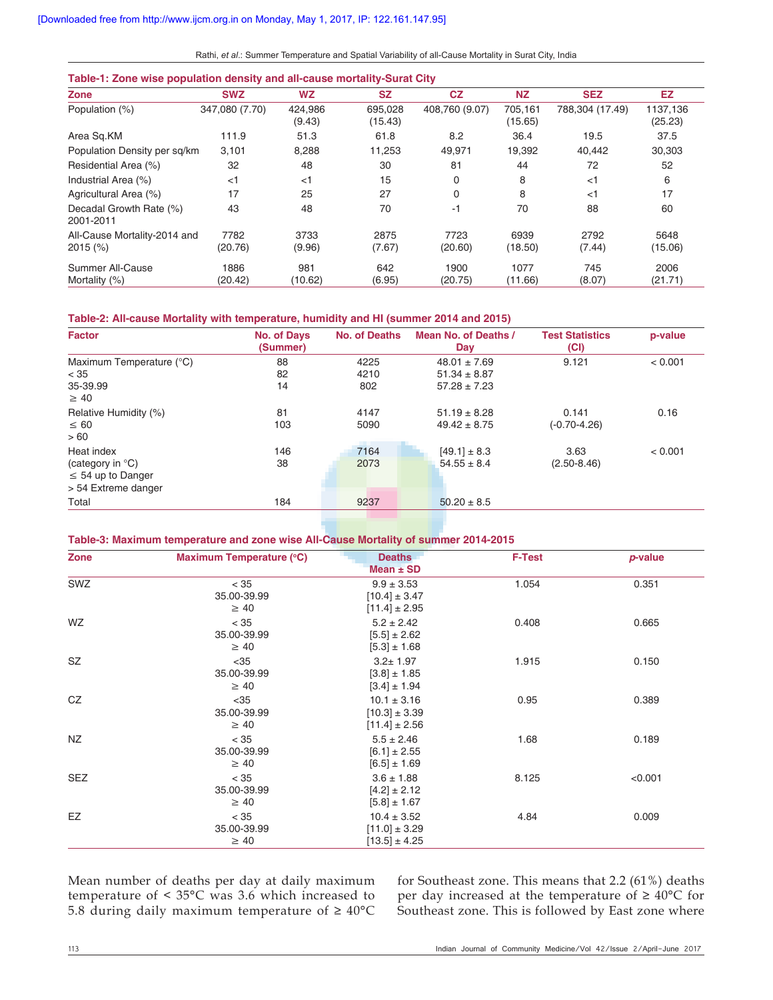Rathi, *et al*.: Summer Temperature and Spatial Variability of all-Cause Mortality in Surat City, India

#### **Table-1: Zone wise population density and all-cause mortality-Surat City**

| Zone                                       | <b>SWZ</b>      | <b>WZ</b>         | <b>SZ</b>          | CZ              | <b>NZ</b>          | <b>SEZ</b>      | EZ                  |
|--------------------------------------------|-----------------|-------------------|--------------------|-----------------|--------------------|-----------------|---------------------|
| Population (%)                             | 347,080 (7.70)  | 424,986<br>(9.43) | 695,028<br>(15.43) | 408,760 (9.07)  | 705,161<br>(15.65) | 788,304 (17.49) | 1137,136<br>(25.23) |
| Area Sq.KM                                 | 111.9           | 51.3              | 61.8               | 8.2             | 36.4               | 19.5            | 37.5                |
| Population Density per sq/km               | 3,101           | 8,288             | 11.253             | 49,971          | 19,392             | 40,442          | 30,303              |
| Residential Area (%)                       | 32              | 48                | 30                 | 81              | 44                 | 72              | 52                  |
| Industrial Area (%)                        | $<$ 1           | $<$ 1             | 15                 | 0               | 8                  | $<$ 1           | 6                   |
| Agricultural Area (%)                      | 17              | 25                | 27                 | $\Omega$        | 8                  | $<$ 1           | 17                  |
| Decadal Growth Rate (%)<br>2001-2011       | 43              | 48                | 70                 | $-1$            | 70                 | 88              | 60                  |
| All-Cause Mortality-2014 and<br>$2015$ (%) | 7782<br>(20.76) | 3733<br>(9.96)    | 2875<br>(7.67)     | 7723<br>(20.60) | 6939<br>(18.50)    | 2792<br>(7.44)  | 5648<br>(15.06)     |
| Summer All-Cause<br>Mortality (%)          | 1886<br>(20.42) | 981<br>(10.62)    | 642<br>(6.95)      | 1900<br>(20.75) | 1077<br>(11.66)    | 745<br>(8.07)   | 2006<br>(21.71)     |

#### **Table-2: All-cause Mortality with temperature, humidity and HI (summer 2014 and 2015)**

| <b>Factor</b>              | <b>No. of Days</b><br>(Summer) | <b>No. of Deaths</b> | Mean No. of Deaths /<br>Day | <b>Test Statistics</b><br>(CI) | p-value |
|----------------------------|--------------------------------|----------------------|-----------------------------|--------------------------------|---------|
| Maximum Temperature (°C)   | 88                             | 4225                 | $48.01 \pm 7.69$            | 9.121                          | < 0.001 |
| < 35                       | 82                             | 4210                 | $51.34 \pm 8.87$            |                                |         |
| 35-39.99                   | 14                             | 802                  | $57.28 \pm 7.23$            |                                |         |
| $\geq 40$                  |                                |                      |                             |                                |         |
| Relative Humidity (%)      | 81                             | 4147                 | $51.19 \pm 8.28$            | 0.141                          | 0.16    |
| $\leq 60$                  | 103                            | 5090                 | $49.42 \pm 8.75$            | $(-0.70 - 4.26)$               |         |
| >60                        |                                |                      |                             |                                |         |
| Heat index                 | 146                            | 7164                 | $[49.1] \pm 8.3$            | 3.63                           | < 0.001 |
| (category in $^{\circ}$ C) | 38                             | 2073                 | $54.55 \pm 8.4$             | $(2.50 - 8.46)$                |         |
| $\leq$ 54 up to Danger     |                                |                      |                             |                                |         |
| > 54 Extreme danger        |                                |                      |                             |                                |         |
| Total                      | 184                            | 9237                 | $50.20 \pm 8.5$             |                                |         |

#### **Table-3: Maximum temperature and zone wise All-Cause Mortality of summer 2014-2015**

| Zone       | Maximum Temperature (°C)           | <b>Deaths</b><br>Mean $\pm$ SD                            | <b>F-Test</b> | $p$ -value |
|------------|------------------------------------|-----------------------------------------------------------|---------------|------------|
| SWZ        | < 35<br>35.00-39.99<br>$\geq 40$   | $9.9 \pm 3.53$<br>$[10.4] \pm 3.47$<br>$[11.4] \pm 2.95$  | 1.054         | 0.351      |
| WZ.        | < 35<br>35.00-39.99<br>$\geq 40$   | $5.2 \pm 2.42$<br>$[5.5] \pm 2.62$<br>$[5.3] \pm 1.68$    | 0.408         | 0.665      |
| SZ         | $<$ 35<br>35.00-39.99<br>$\geq 40$ | $3.2 \pm 1.97$<br>$[3.8] \pm 1.85$<br>$[3.4] \pm 1.94$    | 1.915         | 0.150      |
| CZ         | $<$ 35<br>35.00-39.99<br>$\geq 40$ | $10.1 \pm 3.16$<br>$[10.3] \pm 3.39$<br>$[11.4] \pm 2.56$ | 0.95          | 0.389      |
| NZ         | < 35<br>35.00-39.99<br>$\geq 40$   | $5.5 \pm 2.46$<br>$[6.1] \pm 2.55$<br>$[6.5] \pm 1.69$    | 1.68          | 0.189      |
| <b>SEZ</b> | < 35<br>35.00-39.99<br>$\geq 40$   | $3.6 \pm 1.88$<br>$[4.2] \pm 2.12$<br>$[5.8] \pm 1.67$    | 8.125         | < 0.001    |
| EZ         | < 35<br>35.00-39.99<br>$\geq 40$   | $10.4 \pm 3.52$<br>$[11.0] \pm 3.29$<br>$[13.5] \pm 4.25$ | 4.84          | 0.009      |

Mean number of deaths per day at daily maximum temperature of < 35°C was 3.6 which increased to 5.8 during daily maximum temperature of  $\geq 40^{\circ}$ C

for Southeast zone. This means that 2.2 (61%) deaths per day increased at the temperature of  $\geq 40^{\circ}$ C for Southeast zone. This is followed by East zone where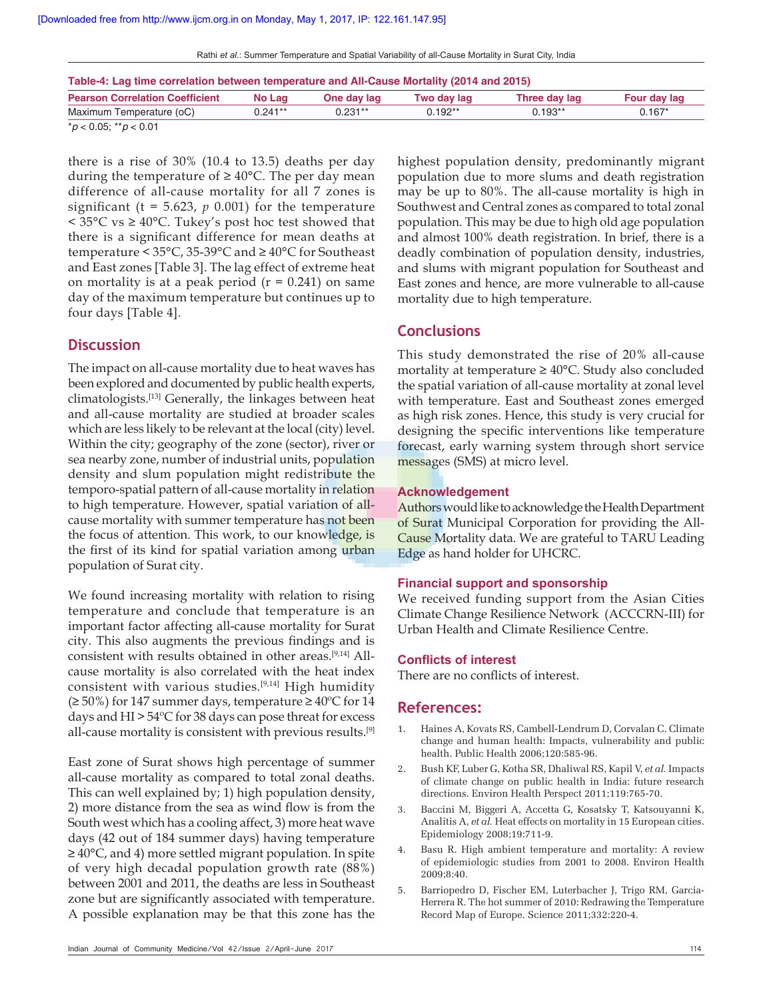Rathi *et al*.: Summer Temperature and Spatial Variability of all-Cause Mortality in Surat City, India

| Table-4: Lag time correlation between temperature and All-Cause Mortality (2014 and 2015) |           |             |             |               |              |  |  |
|-------------------------------------------------------------------------------------------|-----------|-------------|-------------|---------------|--------------|--|--|
| <b>Pearson Correlation Coefficient</b>                                                    | No Lag    | One day lag | Two day lag | Three day lag | Four day lag |  |  |
| Maximum Temperature (oC)                                                                  | $0.241**$ | $0.231**$   | $0.192**$   | $0.193**$     | $0.167*$     |  |  |

\**p* < 0.05; \*\**p* < 0.01

there is a rise of 30% (10.4 to 13.5) deaths per day during the temperature of  $\geq 40^{\circ}$ C. The per day mean difference of all-cause mortality for all 7 zones is significant ( $t = 5.623$ ,  $p = 0.001$ ) for the temperature < 35°C vs ≥ 40°C. Tukey's post hoc test showed that there is a significant difference for mean deaths at temperature < 35°C, 35-39°C and ≥ 40°C for Southeast and East zones [Table 3]. The lag effect of extreme heat on mortality is at a peak period  $(r = 0.241)$  on same day of the maximum temperature but continues up to four days [Table 4].

#### **Discussion**

The impact on all-cause mortality due to heat waves has been explored and documented by public health experts, climatologists.[13] Generally, the linkages between heat and all-cause mortality are studied at broader scales which are less likely to be relevant at the local (city) level. Within the city; geography of the zone (sector), river or sea nearby zone, number of industrial units, population density and slum population might redistribute the temporo-spatial pattern of all-cause mortality in relation to high temperature. However, spatial variation of allcause mortality with summer temperature has not been the focus of attention. This work, to our knowledge, is the first of its kind for spatial variation among urban population of Surat city.

We found increasing mortality with relation to rising temperature and conclude that temperature is an important factor affecting all-cause mortality for Surat city. This also augments the previous findings and is consistent with results obtained in other areas.[9,14] Allcause mortality is also correlated with the heat index consistent with various studies.[9,14] High humidity (≥ 50%) for 147 summer days, temperature ≥ 40°C for 14 days and HI > 54ºC for 38 days can pose threat for excess all-cause mortality is consistent with previous results.[9]

East zone of Surat shows high percentage of summer all-cause mortality as compared to total zonal deaths. This can well explained by; 1) high population density, 2) more distance from the sea as wind flow is from the South west which has a cooling affect, 3) more heat wave days (42 out of 184 summer days) having temperature ≥ 40°C, and 4) more settled migrant population. In spite of very high decadal population growth rate (88%) between 2001 and 2011, the deaths are less in Southeast zone but are significantly associated with temperature. A possible explanation may be that this zone has the

may be up to 80%. The all-cause mortality is high in Southwest and Central zones as compared to total zonal population. This may be due to high old age population and almost 100% death registration. In brief, there is a deadly combination of population density, industries, and slums with migrant population for Southeast and East zones and hence, are more vulnerable to all-cause mortality due to high temperature. **Conclusions**

highest population density, predominantly migrant population due to more slums and death registration

This study demonstrated the rise of 20% all-cause mortality at temperature ≥ 40°C. Study also concluded the spatial variation of all-cause mortality at zonal level with temperature. East and Southeast zones emerged as high risk zones. Hence, this study is very crucial for designing the specific interventions like temperature forecast, early warning system through short service messages (SMS) at micro level.

#### **Acknowledgement**

Authors would like to acknowledge the Health Department of Surat Municipal Corporation for providing the All-Cause Mortality data. We are grateful to TARU Leading Edge as hand holder for UHCRC.

#### **Financial support and sponsorship**

We received funding support from the Asian Cities Climate Change Resilience Network (ACCCRN-III) for Urban Health and Climate Resilience Centre.

#### **Conflicts of interest**

There are no conflicts of interest.

#### **References:**

- 1. Haines A, Kovats RS, Cambell-Lendrum D, Corvalan C. Climate change and human health: Impacts, vulnerability and public health. Public Health 2006;120:585-96.
- 2. Bush KF, Luber G, Kotha SR, Dhaliwal RS, Kapil V, *et al.* Impacts of climate change on public health in India: future research directions. Environ Health Perspect 2011;119:765-70.
- 3. Baccini M, Biggeri A, Accetta G, Kosatsky T, Katsouyanni K, Analitis A, *et al.* Heat effects on mortality in 15 European cities. Epidemiology 2008;19:711-9.
- 4. Basu R. High ambient temperature and mortality: A review of epidemiologic studies from 2001 to 2008. Environ Health 2009;8:40.
- 5. Barriopedro D, Fischer EM, Luterbacher J, Trigo RM, Garcia-Herrera R. The hot summer of 2010: Redrawing the Temperature Record Map of Europe. Science 2011;332:220-4.